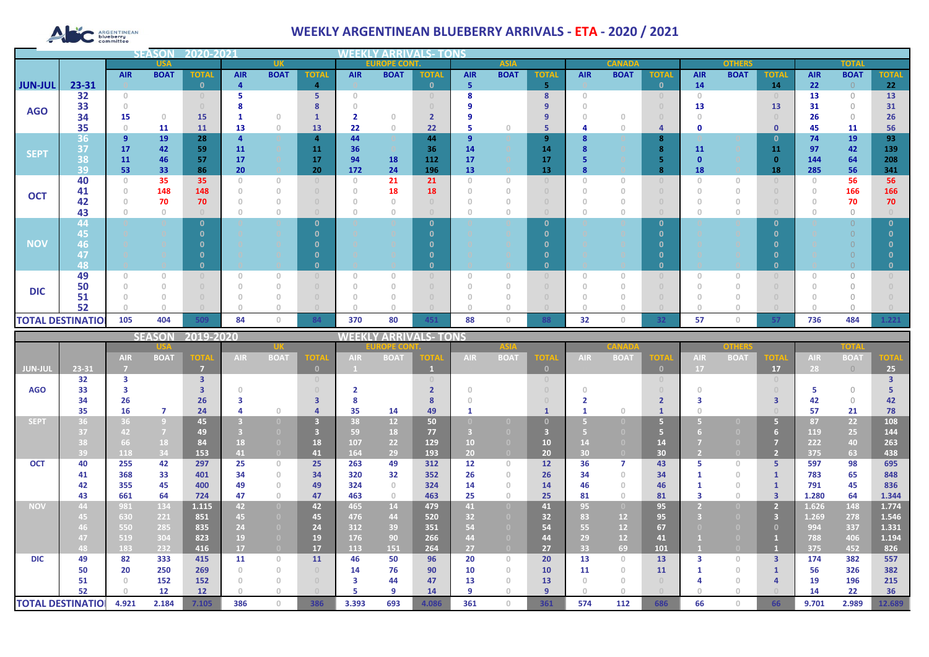# ARGENTINEAN

## **WEEKLY ARGENTINEAN BLUEBERRY ARRIVALS - ETA - 2020 / 2021**

|                          |            |                                       | <b>SEASOI</b>                    | 2020-2021    |            |                |                                  |                                       |                 |              |                                       |             |              |            |               |                                  |            |                                  |              |              |                |              |
|--------------------------|------------|---------------------------------------|----------------------------------|--------------|------------|----------------|----------------------------------|---------------------------------------|-----------------|--------------|---------------------------------------|-------------|--------------|------------|---------------|----------------------------------|------------|----------------------------------|--------------|--------------|----------------|--------------|
|                          | <b>USA</b> |                                       |                                  | <b>UK</b>    |            |                |                                  | <b>EUROPE CONT.</b><br><b>ASIA</b>    |                 |              |                                       |             |              |            | <b>CANADA</b> |                                  |            | <b>OTHERS</b>                    |              | <b>TOTAL</b> |                |              |
|                          |            | <b>AIR</b>                            | <b>BOAT</b>                      | <b>TOTAL</b> | <b>AIR</b> | <b>BOAT</b>    | <b>TOTAL</b>                     | <b>AIR</b>                            | <b>BOAT</b>     | <b>TOTAL</b> | <b>AIR</b>                            | <b>BOAT</b> | <b>TOTAL</b> | <b>AIR</b> | <b>BOAT</b>   | <b>TOTAL</b>                     | <b>AIR</b> | <b>BOAT</b>                      | <b>TOTAL</b> | <b>AIR</b>   | <b>BOAT</b>    | <b>TOTAL</b> |
| <b>JUN-JUL</b>           | 23-31      |                                       |                                  | $\Omega$     | 4          |                | $\overline{a}$                   |                                       |                 | $\Omega$     | -5                                    |             | 5            |            |               | $\mathbf{0}$                     | 14         |                                  | 14           | 22           | $\overline{0}$ | 22           |
|                          | 32         | $\begin{array}{c} 0 \\ 0 \end{array}$ |                                  |              |            |                | 5                                | $\bigcap$                             |                 |              | 8                                     |             | 8            | $\Omega$   |               | $\begin{array}{c} 0 \end{array}$ | $\Omega$   |                                  |              | 13           | $\Omega$       | <b>13</b>    |
| <b>AGO</b>               | 33         |                                       |                                  |              |            |                |                                  |                                       |                 |              |                                       |             | 9            |            |               |                                  | 13         |                                  | 13           | 31           | $\Omega$       | 31           |
|                          | 34         | 15                                    | $\begin{array}{c} 0 \end{array}$ | 15           |            | $\circ$        |                                  | $\overline{\mathbf{2}}$               | $\Omega$        | 2            |                                       |             | 9            |            |               |                                  |            |                                  |              | 26           | $\Omega$       | 26           |
|                          | 35         | $\mathbf{0}$                          | 11                               | 11           | 13         | $\circ$        | 13                               | 22                                    | $\circ$         | 22           | 5                                     | 0           | 5            |            |               | 4                                | O          |                                  | $\mathbf 0$  | 45           | 11             | 56           |
| <b>SEPT</b>              | 36         | $\overline{9}$                        | 19                               | 28           |            |                | 4                                | 44                                    |                 | 44           | 9                                     |             | 9            |            |               | 8                                |            |                                  | 0            | 74           | 19             | 93           |
|                          | 37<br>38   | 17                                    | 42                               | 59           | 11         |                | 11                               | 36                                    |                 | 36           | 14                                    |             | 14           |            |               | 8                                | 11         |                                  | 11           | 97           | 42             | 139          |
|                          | 39         | 11<br>53                              | 46<br>33                         | 57<br>86     | 17<br>20   |                | 17<br>20                         | 94<br>172                             | <b>18</b><br>24 | 112<br>196   | 17<br>13                              |             | 17<br>13     |            |               | 8                                | 18         |                                  | 18           | 144<br>285   | 64<br>56       | 208<br>341   |
|                          | 40         | $\circ$                               | 35                               | 35           | O          | $\circ$        | $\begin{array}{c} 0 \end{array}$ | $\overline{0}$                        | 21              | 21           | $\begin{array}{c} 0 \\ 0 \end{array}$ | $\Omega$    |              | $\Omega$   | $\Omega$      | $\cup$                           | $\Omega$   | $\begin{array}{c} 0 \end{array}$ |              | $\Omega$     | 56             | 56           |
|                          | 41         |                                       | 148                              | 148          |            | $\theta$       | $\Box$                           | $\begin{array}{c} 0 \\ 0 \end{array}$ | 18              | 18           | $\circ$                               |             |              |            |               |                                  |            |                                  |              |              | 166            | 166          |
| <b>OCT</b>               | 42         |                                       | 70                               | 70           |            | $\overline{0}$ | $\Box$                           |                                       |                 |              |                                       |             |              |            |               | $\Box$                           |            | n                                |              |              | 70             | 70           |
|                          | 43         |                                       | $\theta$                         |              |            | $\overline{0}$ | $\Box$                           |                                       |                 |              |                                       |             |              |            |               |                                  |            | n                                |              |              | $\circ$        |              |
|                          | 44         |                                       |                                  |              |            |                | $\Omega$                         |                                       |                 |              |                                       |             | $\mathbf{0}$ |            |               | $\mathbf{0}$                     |            |                                  |              |              | $\cap$         | $\Omega$     |
|                          | 45         |                                       |                                  |              |            |                |                                  |                                       |                 |              |                                       |             | $\Omega$     |            |               | $\Omega$                         |            |                                  |              |              |                |              |
| <b>NOV</b>               | 46         |                                       |                                  |              |            |                |                                  |                                       |                 |              |                                       |             | n            |            |               | n                                |            |                                  |              |              |                |              |
|                          | 47         |                                       |                                  |              |            |                |                                  |                                       |                 |              |                                       |             | n            |            |               | $\Omega$                         |            |                                  |              |              |                |              |
|                          | 48         |                                       |                                  |              |            |                | $\Omega$                         |                                       |                 |              |                                       |             | $\Omega$     |            |               | $\mathbf{0}$                     |            |                                  |              |              |                |              |
|                          | 49         | 0                                     | $\Omega$                         |              |            | $\cup$         | $\cup$                           | $\Omega$                              |                 |              | $\theta$                              |             |              |            |               | $\Omega$                         | 0          | $\cup$                           |              |              | $\Omega$       |              |
| <b>DIC</b>               | 50         |                                       | $\theta$                         |              |            | $\overline{0}$ | $\Box$                           | $\cap$                                |                 |              |                                       |             |              |            |               | $\Omega$                         |            | $\Omega$                         |              |              | $\Omega$       |              |
|                          | 51         |                                       |                                  |              |            |                |                                  |                                       |                 |              |                                       |             |              |            |               |                                  |            |                                  |              |              |                |              |
|                          | 52         |                                       |                                  |              |            | $\cap$         |                                  |                                       |                 |              | $\cap$                                |             |              |            |               | $\cap$                           |            | $\cap$                           |              |              | $\cap$         |              |
| <b>TOTAL DESTINATION</b> |            | 105                                   | 404                              | 509          | 84         | $\circ$        | 84                               | 370                                   | 80              | 451          | 88                                    | 0           | 88           | 32         | 0             | 32                               | 57         | $\circ$                          | 57           | 736          | 484            | 1.221        |

|                          |       |            | <b>SEASON</b>  | 2019-2020               |            |                                       |              | <b>VEEKI</b> |                 | <b>/ ARRIVALS- TONS</b> |            |                |                |            |             |              |            |             |             |            |             |             |
|--------------------------|-------|------------|----------------|-------------------------|------------|---------------------------------------|--------------|--------------|-----------------|-------------------------|------------|----------------|----------------|------------|-------------|--------------|------------|-------------|-------------|------------|-------------|-------------|
|                          |       |            |                |                         |            |                                       |              |              | DPE CO          |                         |            |                |                |            |             |              | onhar      |             |             | TOTA       |             |             |
|                          |       | <b>AIR</b> | <b>BOAT</b>    | <b>TOTA</b>             | <b>AIR</b> | <b>BOAT</b>                           | <b>TOTA</b>  | <b>AIR</b>   | <b>BOAT</b>     | TOTA                    | <b>AIR</b> | <b>BOAT</b>    | <b>TOTA</b>    | <b>AIR</b> | <b>BOAT</b> | <b>TOTA</b>  | <b>AIR</b> | <b>BOAT</b> | <b>TOTA</b> | <b>AIR</b> | <b>BOAT</b> | <b>TOTA</b> |
| JUN-JUI                  | 23-31 |            |                | m                       |            |                                       | $\mathbf{0}$ |              |                 |                         |            |                | $\mathbf{0}$   |            |             | $\mathbf{0}$ | <b>17</b>  |             | 17          | 28         | $\bigcirc$  | 25          |
|                          | 32    | з          |                | $\overline{\mathbf{3}}$ |            |                                       |              |              |                 |                         |            |                |                |            |             | $\Box$       |            |             |             |            |             |             |
| <b>AGO</b>               | 33    |            |                |                         |            |                                       |              |              |                 |                         |            |                |                |            |             |              |            |             |             |            | $\bigcap$   |             |
|                          | 34    | 26         |                | 26                      |            |                                       | ₹            |              |                 |                         |            |                |                |            |             |              |            |             |             | 42         | $\bigcap$   | 42          |
|                          | 35    | 16         | 7              | 24                      |            | $\bigcap$                             |              | 35           | 14              | 49                      |            |                |                |            |             |              |            |             |             | 57         | 21          | 78          |
| <b>SEPT</b>              | 36    | 36         | $\overline{9}$ | 45                      |            |                                       | 3            | 38           | 12 <sup>2</sup> | 50                      |            |                |                |            |             | G            |            |             |             | 87         | 22          | 108         |
|                          | 37    | 42         | $\overline{7}$ | 49                      |            |                                       |              | 59           | 18              | 77                      |            |                |                |            |             | 67           |            |             |             | 119        | 25          | 144         |
|                          |       | 66         | 18             | 84                      | 18         | $\Box$                                | 18           | 107          | 22              | 129                     | 10         |                | 10             |            |             | 14           |            |             |             | 222        | 40          | 263         |
|                          | 39    | 118        | 34             | 153                     | 41         | $\overline{0}$                        | 41           | 164          | 29              | 193                     | 20         |                | 20             | 30         |             | 30           |            |             |             | 375        | 63          | 438         |
| <b>OCT</b>               | 40    | 255        | 42             | 297                     | 25         | $\Omega$                              | 25           | 263          | 49              | 312                     | 12         | $\Omega$       | 12             | 36         |             | 43           |            | $\Box$      | 5.          | 597        | 98          | 695         |
|                          | 41    | 368        | 33             | 401                     | 34         | $\circ$                               | 34           | 320          | 32              | 352                     | 26         |                | 26             | 34         | $\cap$      | 34           |            | $\cap$      |             | 783        | 65          | 848         |
|                          | 42    | 355        | 45             | 400                     | 49         | $\begin{array}{c} 0 \\ 0 \end{array}$ | 49           | 324          | $\Omega$        | 324                     | 14         |                | 14             | 46         |             | 46           |            |             |             | 791        | 45          | 836         |
|                          | 43    | 661        | 64             | 724                     | 47         | $\circ$                               | 47           | 463          | $\Omega$        | 463                     | 25         | $\Omega$       | 25             | 81         | 0.          | 81           |            | $\cap$      |             | 1.280      | 64          | 1.344       |
| <b>NOV</b>               | 44    | 981        | 134            | 1.115                   | 42         | $\overline{0}$                        | 42           | 465          | 14              | 479                     | 41         | $\overline{0}$ | 41             | 95         |             | 95           |            |             |             | 1.626      | 148         | 1.774       |
|                          | 45    | 630        | 221            | 851                     | 45         | $\Box$                                | 45           | 476          | 44              | 520                     | 32         |                | 32             | 83         | 12          | 95           |            |             | в           | 1.269      | 278         | 1.546       |
|                          |       | 550        | 285            | 835                     | 24         | $\bullet$                             | 24           | 312          | 39              | 351                     | 54         |                | 54             | 55         | 12          | 67           |            |             |             | 994        | 337         | 1.331       |
|                          | 47    | 519        | 304            | 823                     | 19         |                                       | 19           | 176          | 90              | 266                     | 44         |                | 44             | 29         | 12          | 41           |            |             |             | 788        | 406         | 1.194       |
|                          | 48    | 183        | 232            | 416                     | 17         | $\overline{0}$                        | 17           | 113          | 151             | 264                     | 27         |                | 27             | 33         | 69          | 101          |            |             |             | 375        | 452         | 826         |
| <b>DIC</b>               | 49    | 82         | 333            | 415                     | 11         | $\Omega$                              | 11           | 46           | 50              | 96                      | 20         | $\Box$         | 20             | 13         | $\cap$      | 13           |            | $\Box$      | 3           | 174        | 382         | 557         |
|                          | 50    | 20         | 250            | 269                     |            | $\Omega$                              |              | 14           | 76              | 90                      | 10         | $\Omega$       | 10             | 11         | $\cap$      | 11           |            | $\Box$      |             | 56         | 326         | 382         |
|                          | 51    |            | 152            | 152                     |            | $\Box$                                |              | з            | 44              | 47                      | 13         |                | 13             |            |             |              |            |             |             | 19         | 196         | 215         |
|                          | 52    |            | 12             | 12                      |            |                                       |              |              | $\circ$         | 14                      | q          |                | $\overline{9}$ |            |             |              |            |             |             | 14         | 22          | 36          |
| <b>TOTAL DESTINATIOI</b> |       | 4.921      | 2.184          | 7.105                   | 386        | $\Omega$                              | 386          | 3.393        | 693             | 4.086                   | 361        | $\Box$         | 361            | 574        | 112         | 686          | 66         | $\cap$      | 66          | 9.701      | 2.989       | 12.689      |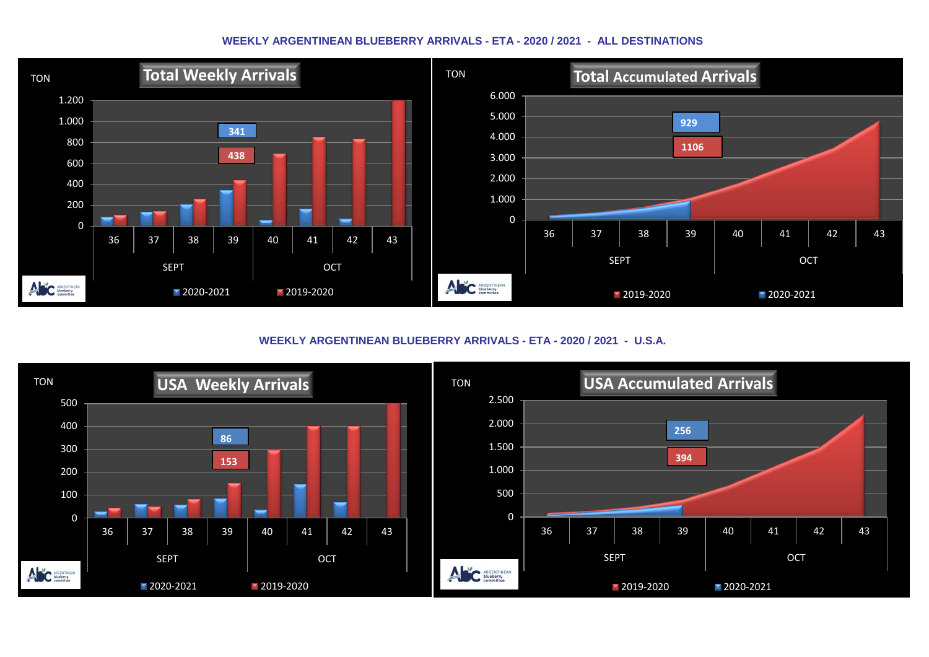#### **WEEKLY ARGENTINEAN BLUEBERRY ARRIVALS - ETA - 2020 / 2021 - ALL DESTINATIONS**



**WEEKLY ARGENTINEAN BLUEBERRY ARRIVALS - ETA - 2020 / 2021 - U.S.A.**

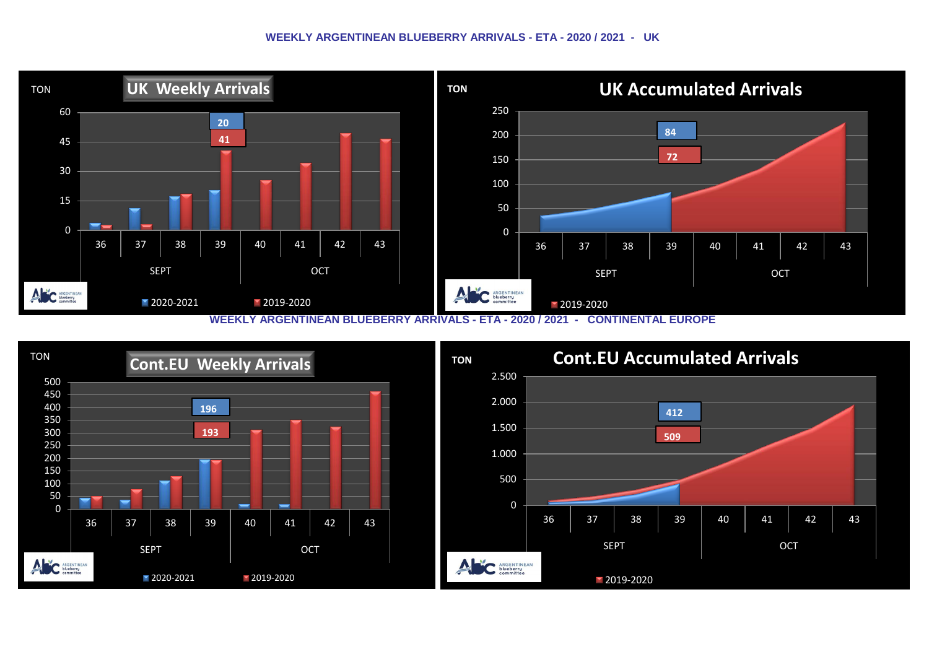#### **WEEKLY ARGENTINEAN BLUEBERRY ARRIVALS - ETA - 2020 / 2021 - UK**



**WEEKLY ARGENTINEAN BLUEBERRY ARRIVALS - ETA - 2020 / 2021 - CONTINENTAL EUROPE**